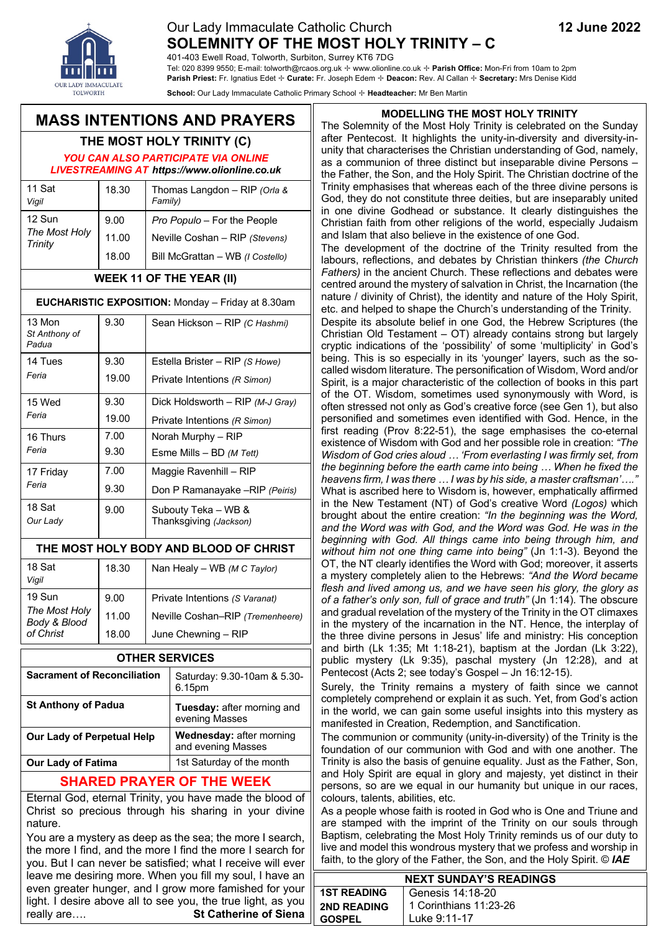# Our Lady Immaculate Catholic Church **12 June 2022 SOLEMNITY OF THE MOST HOLY TRINITY – C**

401-403 Ewell Road, Tolworth, Surbiton, Surrey KT6 7DG

Tel: 020 8399 9550; E-mail: tolworth@rcaos.org.uk ✢ www.olionline.co.uk ✢ **Parish Office:** Mon-Fri from 10am to 2pm **Parish Priest:** Fr. Ignatius Edet ✢ **Curate:** Fr. Joseph Edem ✢ **Deacon:** Rev. Al Callan ✢ **Secretary:** Mrs Denise Kidd

**School:** Our Lady Immaculate Catholic Primary School ✢ **Headteacher:** Mr Ben Martin

# **MASS INTENTIONS AND PRAYERS**

# **THE MOST HOLY TRINITY (C)**

*YOU CAN ALSO PARTICIPATE VIA ONLINE LIVESTREAMING AT https://www.olionline.co.uk*

| 11 Sat<br>Vigil         | 18.30 | Thomas Langdon - RIP (Orla &<br>Family) |
|-------------------------|-------|-----------------------------------------|
| 12 Sun<br>The Most Holy | 9.00  | Pro Populo - For the People             |
|                         | 11.00 | Neville Coshan - RIP (Stevens)          |
|                         | 18.00 | Bill McGrattan - WB (I Costello)        |
| <b>Trinity</b>          |       |                                         |

### **WEEK 11 OF THE YEAR (II)**

#### **EUCHARISTIC EXPOSITION:** Monday – Friday at 8.30am

| 13 Mon<br>St Anthony of<br>Padua | 9.30  | Sean Hickson - RIP (C Hashmi)                 |
|----------------------------------|-------|-----------------------------------------------|
| 14 Tues<br>Feria                 | 9.30  | Estella Brister - RIP (S Howe)                |
|                                  | 19.00 | Private Intentions (R Simon)                  |
| 15 Wed                           | 9.30  | Dick Holdsworth $-$ RIP ( <i>M-J Gray</i> )   |
| Feria                            | 19.00 | Private Intentions (R Simon)                  |
| 16 Thurs                         | 7.00  | Norah Murphy - RIP                            |
| Feria                            | 9.30  | Esme Mills $-$ BD ( <i>M Tett</i> )           |
| 17 Friday                        | 7.00  | Maggie Ravenhill - RIP                        |
| Feria                            | 9.30  | Don P Ramanayake -- RIP (Peiris)              |
| 18 Sat<br>Our Lady               | 9.00  | Subouty Teka - WB &<br>Thanksgiving (Jackson) |

### **THE MOST HOLY BODY AND BLOOD OF CHRIST**

| 18 Sat<br>Vigil                            | 18.30 | Nan Healy - WB (M C Taylor)      |
|--------------------------------------------|-------|----------------------------------|
| 19 Sun                                     | 9.00  | Private Intentions (S Varanat)   |
| The Most Holy<br>Body & Blood<br>of Christ | 11.00 | Neville Coshan-RIP (Tremenheere) |
|                                            | 18.00 | June Chewning - RIP              |

| <b>OTHER SERVICES</b>              |                                                       |  |
|------------------------------------|-------------------------------------------------------|--|
| <b>Sacrament of Reconciliation</b> | Saturday: 9.30-10am & 5.30-<br>6.15pm                 |  |
| <b>St Anthony of Padua</b>         | Tuesday: after morning and<br>evening Masses          |  |
| <b>Our Lady of Perpetual Help</b>  | <b>Wednesday: after morning</b><br>and evening Masses |  |
| <b>Our Lady of Fatima</b>          | 1st Saturday of the month                             |  |
|                                    |                                                       |  |

## **SHARED PRAYER OF THE WEEK**

Eternal God, eternal Trinity, you have made the blood of Christ so precious through his sharing in your divine nature.

You are a mystery as deep as the sea; the more I search, the more I find, and the more I find the more I search for you. But I can never be satisfied; what I receive will ever leave me desiring more. When you fill my soul, I have an even greater hunger, and I grow more famished for your light. I desire above all to see you, the true light, as you really are…. **St Catherine of Siena**

#### **MODELLING THE MOST HOLY TRINITY**

The Solemnity of the Most Holy Trinity is celebrated on the Sunday after Pentecost. It highlights the unity-in-diversity and diversity-inunity that characterises the Christian understanding of God, namely, as a communion of three distinct but inseparable divine Persons – the Father, the Son, and the Holy Spirit. The Christian doctrine of the Trinity emphasises that whereas each of the three divine persons is God, they do not constitute three deities, but are inseparably united in one divine Godhead or substance. It clearly distinguishes the Christian faith from other religions of the world, especially Judaism and Islam that also believe in the existence of one God.

The development of the doctrine of the Trinity resulted from the labours, reflections, and debates by Christian thinkers *(the Church Fathers)* in the ancient Church. These reflections and debates were centred around the mystery of salvation in Christ, the Incarnation (the nature / divinity of Christ), the identity and nature of the Holy Spirit, etc. and helped to shape the Church's understanding of the Trinity.

Despite its absolute belief in one God, the Hebrew Scriptures (the Christian Old Testament – OT) already contains strong but largely cryptic indications of the 'possibility' of some 'multiplicity' in God's being. This is so especially in its 'younger' layers, such as the socalled wisdom literature. The personification of Wisdom, Word and/or Spirit, is a major characteristic of the collection of books in this part of the OT. Wisdom, sometimes used synonymously with Word, is often stressed not only as God's creative force (see Gen 1), but also personified and sometimes even identified with God. Hence, in the first reading (Prov 8:22-51), the sage emphasises the co-eternal existence of Wisdom with God and her possible role in creation: *"The Wisdom of God cries aloud … 'From everlasting I was firmly set, from the beginning before the earth came into being … When he fixed the heavens firm, I was there … I was by his side, a master craftsman'…."* What is ascribed here to Wisdom is, however, emphatically affirmed in the New Testament (NT) of God's creative Word *(Logos)* which brought about the entire creation: *"In the beginning was the Word, and the Word was with God, and the Word was God. He was in the beginning with God. All things came into being through him, and without him not one thing came into being"* (Jn 1:1-3). Beyond the OT, the NT clearly identifies the Word with God; moreover, it asserts a mystery completely alien to the Hebrews: *"And the Word became flesh and lived among us, and we have seen his glory, the glory as of a father's only son, full of grace and truth"* (Jn 1:14). The obscure and gradual revelation of the mystery of the Trinity in the OT climaxes in the mystery of the incarnation in the NT. Hence, the interplay of the three divine persons in Jesus' life and ministry: His conception and birth (Lk 1:35; Mt 1:18-21), baptism at the Jordan (Lk 3:22), public mystery (Lk 9:35), paschal mystery (Jn 12:28), and at Pentecost (Acts 2; see today's Gospel – Jn 16:12-15).

Surely, the Trinity remains a mystery of faith since we cannot completely comprehend or explain it as such. Yet, from God's action in the world, we can gain some useful insights into this mystery as manifested in Creation, Redemption, and Sanctification.

The communion or community (unity-in-diversity) of the Trinity is the foundation of our communion with God and with one another. The Trinity is also the basis of genuine equality. Just as the Father, Son, and Holy Spirit are equal in glory and majesty, yet distinct in their persons, so are we equal in our humanity but unique in our races, colours, talents, abilities, etc.

As a people whose faith is rooted in God who is One and Triune and are stamped with the imprint of the Trinity on our souls through Baptism, celebrating the Most Holy Trinity reminds us of our duty to live and model this wondrous mystery that we profess and worship in faith, to the glory of the Father, the Son, and the Holy Spirit. © *IAE*

| <b>NEXT SUNDAY'S READINGS</b>          |                        |  |  |
|----------------------------------------|------------------------|--|--|
| <b>1ST READING</b><br>Genesis 14:18-20 |                        |  |  |
| <b>2ND READING</b>                     | 1 Corinthians 11:23-26 |  |  |
| <b>GOSPEL</b>                          | Luke 9:11-17           |  |  |





eve